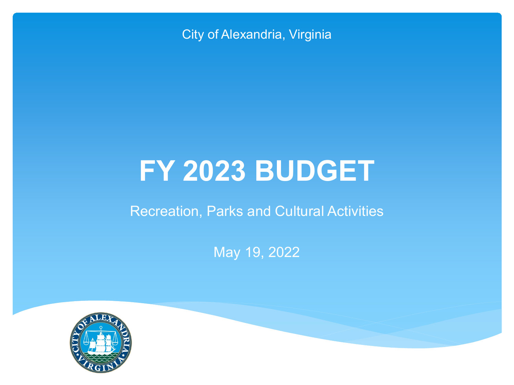City of Alexandria, Virginia

# **FY 2023 BUDGET**

### Recreation, Parks and Cultural Activities

May 19, 2022

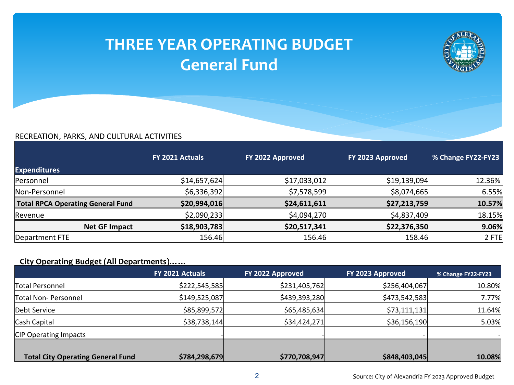### **THREE YEAR OPERATING BUDGET General Fund**



#### RECREATION, PARKS, AND CULTURAL ACTIVITIES

|                                          | FY 2021 Actuals | FY 2022 Approved | FY 2023 Approved | % Change FY22-FY23 |
|------------------------------------------|-----------------|------------------|------------------|--------------------|
| <b>Expenditures</b>                      |                 |                  |                  |                    |
| Personnel                                | \$14,657,624]   | \$17,033,012     | \$19,139,094     | 12.36%             |
| Non-Personnel                            | \$6,336,392     | \$7,578,599      | \$8,074,665      | 6.55%              |
| <b>Total RPCA Operating General Fund</b> | \$20,994,016    | \$24,611,611     | \$27,213,759     | 10.57%             |
| Revenue                                  | \$2,090,233     | \$4,094,270      | \$4,837,409      | 18.15%             |
| Net GF Impact                            | \$18,903,783    | \$20,517,341     | \$22,376,350     | 9.06%              |
| Department FTE                           | 156.46          | 156.46           | 158.46           | $2$ FTE            |

#### **City Operating Budget (All Departments)……**

|                                          | FY 2021 Actuals | FY 2022 Approved | <b>FY 2023 Approved</b> | % Change FY22-FY23 |
|------------------------------------------|-----------------|------------------|-------------------------|--------------------|
| Total Personnel                          | \$222,545,585   | \$231,405,762    | \$256,404,067           | 10.80%             |
| Total Non-Personnel                      | \$149,525,087   | \$439,393,280    | \$473,542,583           | 7.77%              |
| Debt Service                             | \$85,899,572    | \$65,485,634]    | \$73,111,131            | 11.64%             |
| Cash Capital                             | \$38,738,144    | \$34,424,271     | \$36,156,190            | 5.03%              |
| <b>CIP Operating Impacts</b>             |                 |                  |                         |                    |
|                                          |                 |                  |                         |                    |
| <b>Total City Operating General Fund</b> | \$784,298,679   | \$770,708,947    | \$848,403,045           | 10.08%             |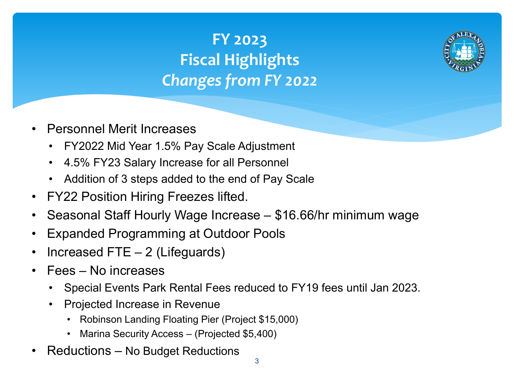# **FY 2023 Fiscal Highlights**  *Changes from FY 2022*



- Personnel Merit Increases
	- FY2022 Mid Year 1.5% Pay Scale Adjustment
	- 4.5% FY23 Salary Increase for all Personnel
	- Addition of 3 steps added to the end of Pay Scale
- FY22 Position Hiring Freezes lifted.
- Seasonal Staff Hourly Wage Increase \$16.66/hr minimum wage
- Expanded Programming at Outdoor Pools
- Increased FTE  $-2$  (Lifeguards)
- Fees No increases
	- Special Events Park Rental Fees reduced to FY19 fees until Jan 2023.
	- Projected Increase in Revenue
		- Robinson Landing Floating Pier (Project \$15,000)
		- Marina Security Access (Projected \$5,400)
- Reductions No Budget Reductions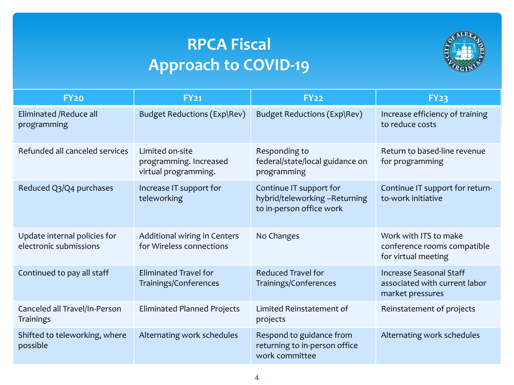### **RPCA Fiscal Approach to COVID-19**



| FY <sub>20</sub>                                       | <b>FY21</b>                                                       | <b>FY22</b>                                                                         | <b>FY23</b>                                                                         |
|--------------------------------------------------------|-------------------------------------------------------------------|-------------------------------------------------------------------------------------|-------------------------------------------------------------------------------------|
| Eliminated / Reduce all<br>programming                 | Budget Reductions (Exp\Rev)                                       | Budget Reductions (Exp\Rev)                                                         | Increase efficiency of training<br>to reduce costs                                  |
| Refunded all canceled services                         | Limited on-site<br>programming. Increased<br>virtual programming. | Responding to<br>federal/state/local guidance on<br>programming                     | Return to based-line revenue<br>for programming                                     |
| Reduced Q3/Q4 purchases                                | Increase IT support for<br>teleworking                            | Continue IT support for<br>hybrid/teleworking-Returning<br>to in-person office work | Continue IT support for return-<br>to-work initiative                               |
| Update internal policies for<br>electronic submissions | Additional wiring in Centers<br>for Wireless connections          | No Changes                                                                          | Work with ITS to make<br>conference rooms compatible<br>for virtual meeting         |
| Continued to pay all staff                             | <b>Eliminated Travel for</b><br>Trainings/Conferences             | <b>Reduced Travel for</b><br>Trainings/Conferences                                  | <b>Increase Seasonal Staff</b><br>associated with current labor<br>market pressures |
| Canceled all Travel/In-Person<br><b>Trainings</b>      | <b>Eliminated Planned Projects</b>                                | Limited Reinstatement of<br>projects                                                | Reinstatement of projects                                                           |
| Shifted to teleworking, where<br>possible              | Alternating work schedules                                        | Respond to guidance from<br>returning to in-person office<br>work committee         | Alternating work schedules                                                          |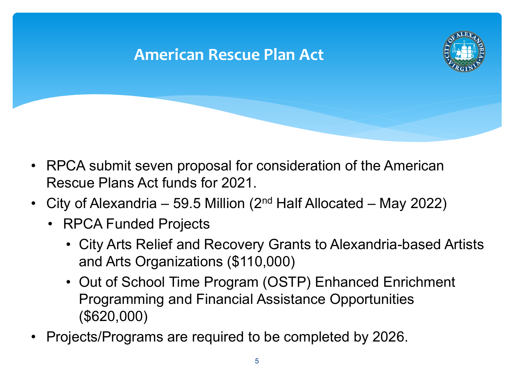### **American Rescue Plan Act**



- RPCA submit seven proposal for consideration of the American Rescue Plans Act funds for 2021.
- City of Alexandria 59.5 Million (2<sup>nd</sup> Half Allocated May 2022)
	- RPCA Funded Projects
		- City Arts Relief and Recovery Grants to Alexandria-based Artists and Arts Organizations (\$110,000)
		- Out of School Time Program (OSTP) Enhanced Enrichment Programming and Financial Assistance Opportunities (\$620,000)
- Projects/Programs are required to be completed by 2026.